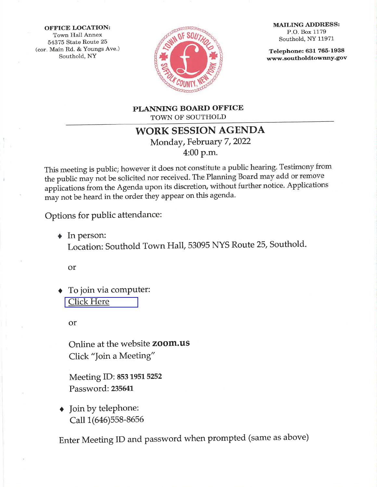## **OFFICE LOCATION:**

Town Hall Annex 54375 State Route 25 (cor. Main Rd. & Youngs Ave.) Southold, NY



**MAILING ADDRESS:** P.O. Box 1179 Southold, NY 11971

Telephone: 631 765-1938 www.southoldtownny.gov

PLANNING BOARD OFFICE TOWN OF SOUTHOLD

**WORK SESSION AGENDA** 

Monday, February 7, 2022  $4:00$  p.m.

This meeting is public; however it does not constitute a public hearing. Testimony from the public may not be solicited nor received. The Planning Board may add or remove applications from the Agenda upon its discretion, without further notice. Applications may not be heard in the order they appear on this agenda.

Options for public attendance:

 $\triangleleft$  In person: Location: Southold Town Hall, 53095 NYS Route 25, Southold.

or

To join via computer: **Click Here** 

or

Online at the website zoom.us Click "Join a Meeting"

Meeting ID: 853 1951 5252 Password: 235641

• Join by telephone: Call 1(646) 558-8656

Enter Meeting ID and password when prompted (same as above)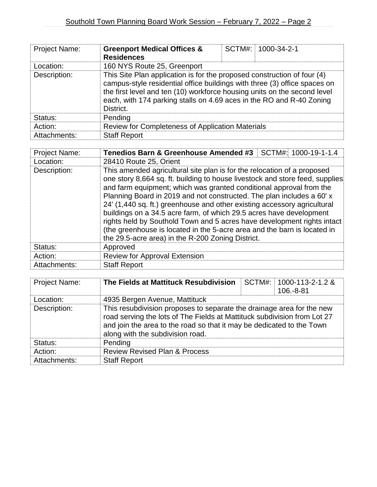| <b>Project Name:</b> | <b>Greenport Medical Offices &amp;</b><br><b>Residences</b>                                                                                                                                                                                                                                                           |  | SCTM#: 1000-34-2-1 |
|----------------------|-----------------------------------------------------------------------------------------------------------------------------------------------------------------------------------------------------------------------------------------------------------------------------------------------------------------------|--|--------------------|
| Location:            | 160 NYS Route 25, Greenport                                                                                                                                                                                                                                                                                           |  |                    |
| Description:         | This Site Plan application is for the proposed construction of four (4)<br>campus-style residential office buildings with three (3) office spaces on<br>the first level and ten (10) workforce housing units on the second level<br>each, with 174 parking stalls on 4.69 aces in the RO and R-40 Zoning<br>District. |  |                    |
| Status:              | Pending                                                                                                                                                                                                                                                                                                               |  |                    |
| Action:              | Review for Completeness of Application Materials                                                                                                                                                                                                                                                                      |  |                    |
| Attachments:         | <b>Staff Report</b>                                                                                                                                                                                                                                                                                                   |  |                    |

| <b>Project Name:</b> | SCTM#: 1000-19-1-1.4<br>Tenedios Barn & Greenhouse Amended #3                                                                                                                                                                                                                                                                                                                                                                                                                                                                                                                                                                                                          |  |
|----------------------|------------------------------------------------------------------------------------------------------------------------------------------------------------------------------------------------------------------------------------------------------------------------------------------------------------------------------------------------------------------------------------------------------------------------------------------------------------------------------------------------------------------------------------------------------------------------------------------------------------------------------------------------------------------------|--|
| Location:            | 28410 Route 25, Orient                                                                                                                                                                                                                                                                                                                                                                                                                                                                                                                                                                                                                                                 |  |
| Description:         | This amended agricultural site plan is for the relocation of a proposed<br>one story 8,664 sq. ft. building to house livestock and store feed, supplies<br>and farm equipment; which was granted conditional approval from the<br>Planning Board in 2019 and not constructed. The plan includes a 60' x<br>24' (1,440 sq. ft.) greenhouse and other existing accessory agricultural<br>buildings on a 34.5 acre farm, of which 29.5 acres have development<br>rights held by Southold Town and 5 acres have development rights intact<br>(the greenhouse is located in the 5-acre area and the barn is located in<br>the 29.5-acre area) in the R-200 Zoning District. |  |
| Status:              | Approved                                                                                                                                                                                                                                                                                                                                                                                                                                                                                                                                                                                                                                                               |  |
| Action:              | Review for Approval Extension                                                                                                                                                                                                                                                                                                                                                                                                                                                                                                                                                                                                                                          |  |
| Attachments:         | <b>Staff Report</b>                                                                                                                                                                                                                                                                                                                                                                                                                                                                                                                                                                                                                                                    |  |

| <b>Project Name:</b> | The Fields at Mattituck Resubdivision                                                                                                                                                                                                                          |  | SCTM#: 1000-113-2-1.2 &<br>106.-8-81 |
|----------------------|----------------------------------------------------------------------------------------------------------------------------------------------------------------------------------------------------------------------------------------------------------------|--|--------------------------------------|
| Location:            | 4935 Bergen Avenue, Mattituck                                                                                                                                                                                                                                  |  |                                      |
| Description:         | This resubdivision proposes to separate the drainage area for the new<br>road serving the lots of The Fields at Mattituck subdivision from Lot 27<br>and join the area to the road so that it may be dedicated to the Town<br>along with the subdivision road. |  |                                      |
| Status:              | Pending                                                                                                                                                                                                                                                        |  |                                      |
| Action:              | <b>Review Revised Plan &amp; Process</b>                                                                                                                                                                                                                       |  |                                      |
| Attachments:         | <b>Staff Report</b>                                                                                                                                                                                                                                            |  |                                      |